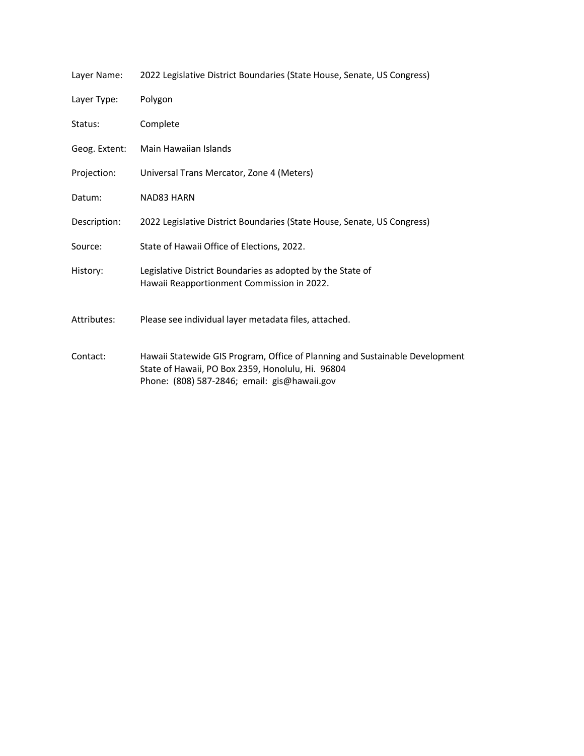| Layer Name:   | 2022 Legislative District Boundaries (State House, Senate, US Congress)                                                                                                           |  |
|---------------|-----------------------------------------------------------------------------------------------------------------------------------------------------------------------------------|--|
| Layer Type:   | Polygon                                                                                                                                                                           |  |
| Status:       | Complete                                                                                                                                                                          |  |
| Geog. Extent: | Main Hawaiian Islands                                                                                                                                                             |  |
| Projection:   | Universal Trans Mercator, Zone 4 (Meters)                                                                                                                                         |  |
| Datum:        | NAD83 HARN                                                                                                                                                                        |  |
| Description:  | 2022 Legislative District Boundaries (State House, Senate, US Congress)                                                                                                           |  |
| Source:       | State of Hawaii Office of Elections, 2022.                                                                                                                                        |  |
| History:      | Legislative District Boundaries as adopted by the State of<br>Hawaii Reapportionment Commission in 2022.                                                                          |  |
| Attributes:   | Please see individual layer metadata files, attached.                                                                                                                             |  |
| Contact:      | Hawaii Statewide GIS Program, Office of Planning and Sustainable Development<br>State of Hawaii, PO Box 2359, Honolulu, Hi. 96804<br>Phone: (808) 587-2846; email: gis@hawaii.gov |  |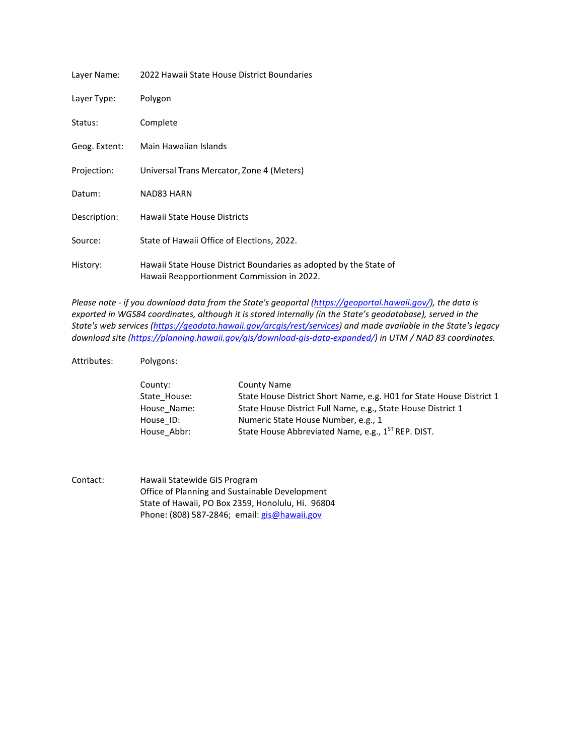| Layer Name:   | 2022 Hawaii State House District Boundaries                                                                     |
|---------------|-----------------------------------------------------------------------------------------------------------------|
| Layer Type:   | Polygon                                                                                                         |
| Status:       | Complete                                                                                                        |
| Geog. Extent: | Main Hawaiian Islands                                                                                           |
| Projection:   | Universal Trans Mercator, Zone 4 (Meters)                                                                       |
| Datum:        | NAD83 HARN                                                                                                      |
| Description:  | Hawaii State House Districts                                                                                    |
| Source:       | State of Hawaii Office of Elections, 2022.                                                                      |
| History:      | Hawaii State House District Boundaries as adopted by the State of<br>Hawaii Reapportionment Commission in 2022. |

*Please note - if you download data from the State's geoportal [\(https://geoportal.hawaii.gov/\)](https://geoportal.hawaii.gov/), the data is exported in WGS84 coordinates, although it is stored internally (in the State's geodatabase), served in the State's web services [\(https://geodata.hawaii.gov/arcgis/rest/services\)](https://geodata.hawaii.gov/arcgis/rest/services) and made available in the State's legacy download site [\(https://planning.hawaii.gov/gis/download-gis-data-expanded/\)](https://planning.hawaii.gov/gis/download-gis-data-expanded/) in UTM / NAD 83 coordinates.*

Attributes: Polygons:

| County:      | County Name                                                          |
|--------------|----------------------------------------------------------------------|
| State House: | State House District Short Name, e.g. H01 for State House District 1 |
| House Name:  | State House District Full Name, e.g., State House District 1         |
| House ID:    | Numeric State House Number, e.g., 1                                  |
| House Abbr:  | State House Abbreviated Name, e.g., 1 <sup>ST</sup> REP. DIST.       |

Contact: Hawaii Statewide GIS Program Office of Planning and Sustainable Development State of Hawaii, PO Box 2359, Honolulu, Hi. 96804 Phone: (808) 587-2846; email: [gis@hawaii.gov](mailto:gis@hawaii.gov)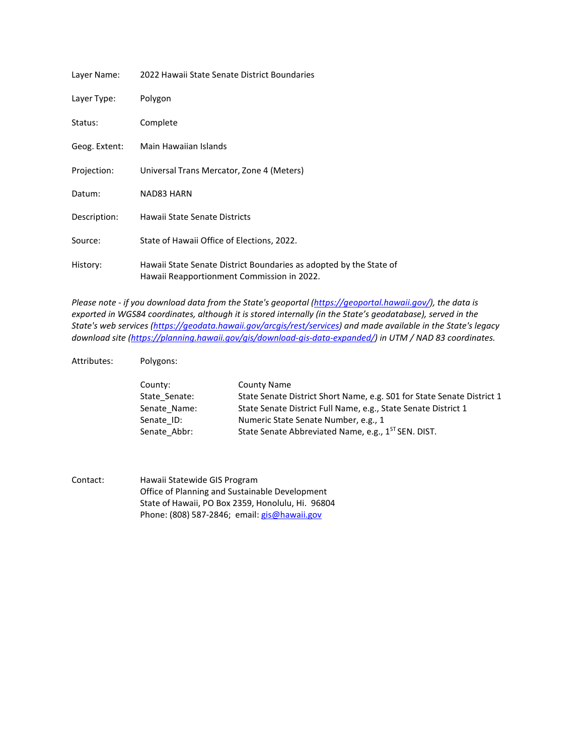| Layer Name:   | 2022 Hawaii State Senate District Boundaries                                                                     |
|---------------|------------------------------------------------------------------------------------------------------------------|
| Layer Type:   | Polygon                                                                                                          |
| Status:       | Complete                                                                                                         |
| Geog. Extent: | Main Hawaiian Islands                                                                                            |
| Projection:   | Universal Trans Mercator, Zone 4 (Meters)                                                                        |
| Datum:        | NAD83 HARN                                                                                                       |
| Description:  | Hawaii State Senate Districts                                                                                    |
| Source:       | State of Hawaii Office of Elections, 2022.                                                                       |
| History:      | Hawaii State Senate District Boundaries as adopted by the State of<br>Hawaii Reapportionment Commission in 2022. |

*Please note - if you download data from the State's geoportal [\(https://geoportal.hawaii.gov/\)](https://geoportal.hawaii.gov/), the data is exported in WGS84 coordinates, although it is stored internally (in the State's geodatabase), served in the State's web services [\(https://geodata.hawaii.gov/arcgis/rest/services\)](https://geodata.hawaii.gov/arcgis/rest/services) and made available in the State's legacy download site [\(https://planning.hawaii.gov/gis/download-gis-data-expanded/\)](https://planning.hawaii.gov/gis/download-gis-data-expanded/) in UTM / NAD 83 coordinates.*

Attributes: Polygons:

| County:       | County Name                                                            |
|---------------|------------------------------------------------------------------------|
| State Senate: | State Senate District Short Name, e.g. S01 for State Senate District 1 |
| Senate Name:  | State Senate District Full Name, e.g., State Senate District 1         |
| Senate ID:    | Numeric State Senate Number, e.g., 1                                   |
| Senate Abbr:  | State Senate Abbreviated Name, e.g., 1 <sup>ST</sup> SEN. DIST.        |

Contact: Hawaii Statewide GIS Program Office of Planning and Sustainable Development State of Hawaii, PO Box 2359, Honolulu, Hi. 96804 Phone: (808) 587-2846; email: [gis@hawaii.gov](mailto:mgis@hawaii.gov)